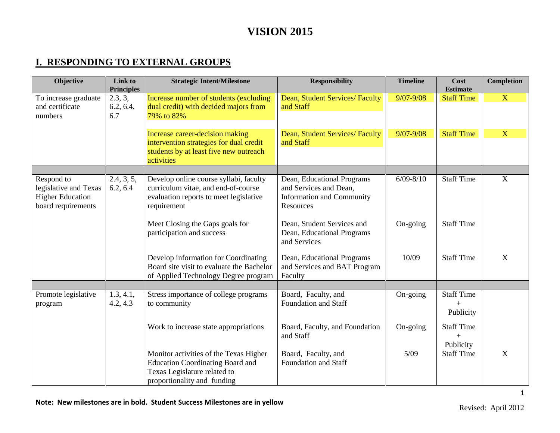#### **I. RESPONDING TO EXTERNAL GROUPS**

| Objective                                                                            | Link to<br><b>Principles</b> | <b>Strategic Intent/Milestone</b>                                                                                                                | <b>Responsibility</b>                                                                                 | <b>Timeline</b> | Cost<br><b>Estimate</b>               | <b>Completion</b> |
|--------------------------------------------------------------------------------------|------------------------------|--------------------------------------------------------------------------------------------------------------------------------------------------|-------------------------------------------------------------------------------------------------------|-----------------|---------------------------------------|-------------------|
| To increase graduate<br>and certificate<br>numbers                                   | 2.3, 3,<br>6.2, 6.4,<br>6.7  | Increase number of students (excluding<br>dual credit) with decided majors from<br>79% to 82%                                                    | Dean, Student Services/ Faculty<br>and Staff                                                          | $9/07 - 9/08$   | <b>Staff Time</b>                     | $\mathbf{X}$      |
|                                                                                      |                              | Increase career-decision making<br>intervention strategies for dual credit<br>students by at least five new outreach<br>activities               | Dean, Student Services/ Faculty<br>and Staff                                                          | $9/07 - 9/08$   | <b>Staff Time</b>                     | $\mathbf{X}$      |
|                                                                                      |                              |                                                                                                                                                  |                                                                                                       |                 |                                       |                   |
| Respond to<br>legislative and Texas<br><b>Higher Education</b><br>board requirements | 2.4, 3, 5,<br>6.2, 6.4       | Develop online course syllabi, faculty<br>curriculum vitae, and end-of-course<br>evaluation reports to meet legislative<br>requirement           | Dean, Educational Programs<br>and Services and Dean,<br><b>Information and Community</b><br>Resources | $6/09 - 8/10$   | Staff Time                            | $\overline{X}$    |
|                                                                                      |                              | Meet Closing the Gaps goals for<br>participation and success                                                                                     | Dean, Student Services and<br>Dean, Educational Programs<br>and Services                              | On-going        | <b>Staff Time</b>                     |                   |
|                                                                                      |                              | Develop information for Coordinating<br>Board site visit to evaluate the Bachelor<br>of Applied Technology Degree program                        | Dean, Educational Programs<br>and Services and BAT Program<br>Faculty                                 | 10/09           | <b>Staff Time</b>                     | $\mathbf X$       |
|                                                                                      |                              |                                                                                                                                                  |                                                                                                       |                 |                                       |                   |
| Promote legislative<br>program                                                       | 1.3, 4.1,<br>4.2, 4.3        | Stress importance of college programs<br>to community                                                                                            | Board, Faculty, and<br>Foundation and Staff                                                           | On-going        | <b>Staff Time</b><br>$+$<br>Publicity |                   |
|                                                                                      |                              | Work to increase state appropriations                                                                                                            | Board, Faculty, and Foundation<br>and Staff                                                           | On-going        | <b>Staff Time</b><br>$+$<br>Publicity |                   |
|                                                                                      |                              | Monitor activities of the Texas Higher<br><b>Education Coordinating Board and</b><br>Texas Legislature related to<br>proportionality and funding | Board, Faculty, and<br><b>Foundation and Staff</b>                                                    | 5/09            | <b>Staff Time</b>                     | X                 |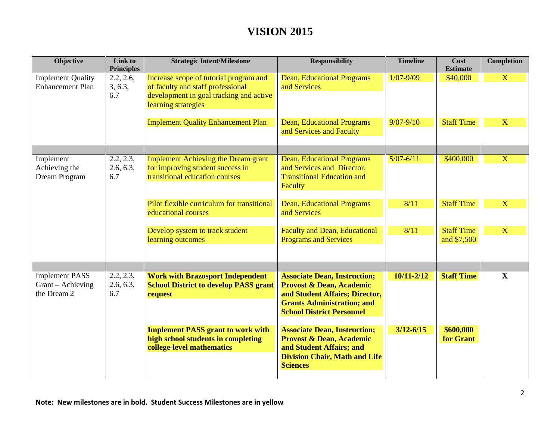| Objective                                           | Link to<br><b>Principles</b> | <b>Strategic Intent/Milestone</b>                                                                                                             | <b>Responsibility</b>                                                                                                                                             | <b>Timeline</b> | Cost<br><b>Estimate</b>          | <b>Completion</b> |
|-----------------------------------------------------|------------------------------|-----------------------------------------------------------------------------------------------------------------------------------------------|-------------------------------------------------------------------------------------------------------------------------------------------------------------------|-----------------|----------------------------------|-------------------|
| <b>Implement Quality</b><br><b>Enhancement Plan</b> | 2.2, 2.6,<br>3, 6.3,<br>6.7  | Increase scope of tutorial program and<br>of faculty and staff professional<br>development in goal tracking and active<br>learning strategies | <b>Dean, Educational Programs</b><br>and Services                                                                                                                 | $1/07 - 9/09$   | \$40,000                         | X                 |
|                                                     |                              | <b>Implement Quality Enhancement Plan</b>                                                                                                     | <b>Dean, Educational Programs</b><br>and Services and Faculty                                                                                                     | $9/07 - 9/10$   | <b>Staff Time</b>                | X                 |
| Implement                                           | 2.2, 2.3,                    | <b>Implement Achieving the Dream grant</b>                                                                                                    | Dean, Educational Programs                                                                                                                                        | $5/07 - 6/11$   | \$400,000                        | $\mathbf{X}$      |
| Achieving the<br>Dream Program                      | 2.6, 6.3,<br>6.7             | for improving student success in<br>transitional education courses                                                                            | and Services and Director,<br><b>Transitional Education and</b><br>Faculty                                                                                        |                 |                                  |                   |
|                                                     |                              | Pilot flexible curriculum for transitional<br>educational courses                                                                             | <b>Dean, Educational Programs</b><br>and Services                                                                                                                 | 8/11            | <b>Staff Time</b>                | X                 |
|                                                     |                              | Develop system to track student<br>learning outcomes                                                                                          | <b>Faculty and Dean, Educational</b><br><b>Programs and Services</b>                                                                                              | 8/11            | <b>Staff Time</b><br>and \$7,500 | X                 |
| <b>Implement PASS</b>                               | 2.2, 2.3,                    | <b>Work with Brazosport Independent</b>                                                                                                       | <b>Associate Dean, Instruction;</b>                                                                                                                               | $10/11 - 2/12$  | <b>Staff Time</b>                | $\mathbf{X}$      |
| Grant – Achieving<br>the Dream 2                    | 2.6, 6.3,<br>6.7             | <b>School District to develop PASS grant</b><br>request                                                                                       | <b>Provost &amp; Dean, Academic</b><br>and Student Affairs; Director,<br><b>Grants Administration; and</b><br><b>School District Personnel</b>                    |                 |                                  |                   |
|                                                     |                              | <b>Implement PASS grant to work with</b><br>high school students in completing<br>college-level mathematics                                   | <b>Associate Dean, Instruction;</b><br><b>Provost &amp; Dean, Academic</b><br>and Student Affairs; and<br><b>Division Chair, Math and Life</b><br><b>Sciences</b> | $3/12 - 6/15$   | \$600,000<br>for Grant           |                   |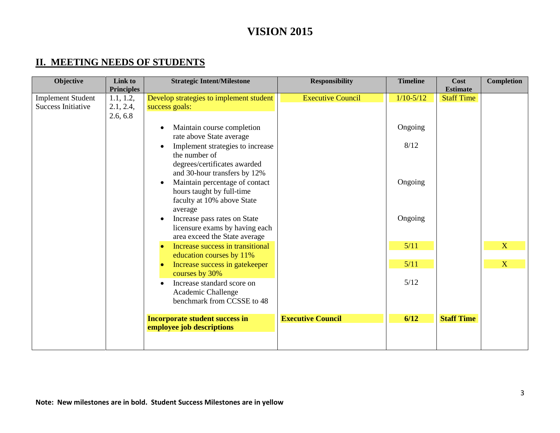### **II. MEETING NEEDS OF STUDENTS**

| Objective                 | Link to           | <b>Strategic Intent/Milestone</b>       | <b>Responsibility</b>    | <b>Timeline</b> | Cost              | <b>Completion</b> |
|---------------------------|-------------------|-----------------------------------------|--------------------------|-----------------|-------------------|-------------------|
|                           | <b>Principles</b> |                                         |                          |                 | <b>Estimate</b>   |                   |
| <b>Implement Student</b>  | 1.1, 1.2,         | Develop strategies to implement student | <b>Executive Council</b> | $1/10-5/12$     | <b>Staff Time</b> |                   |
| <b>Success Initiative</b> | 2.1, 2.4,         | success goals:                          |                          |                 |                   |                   |
|                           | 2.6, 6.8          |                                         |                          |                 |                   |                   |
|                           |                   | Maintain course completion              |                          | Ongoing         |                   |                   |
|                           |                   | rate above State average                |                          |                 |                   |                   |
|                           |                   | Implement strategies to increase        |                          | 8/12            |                   |                   |
|                           |                   | the number of                           |                          |                 |                   |                   |
|                           |                   | degrees/certificates awarded            |                          |                 |                   |                   |
|                           |                   | and 30-hour transfers by 12%            |                          |                 |                   |                   |
|                           |                   | Maintain percentage of contact          |                          | Ongoing         |                   |                   |
|                           |                   | hours taught by full-time               |                          |                 |                   |                   |
|                           |                   | faculty at 10% above State              |                          |                 |                   |                   |
|                           |                   | average                                 |                          |                 |                   |                   |
|                           |                   | Increase pass rates on State            |                          | Ongoing         |                   |                   |
|                           |                   | licensure exams by having each          |                          |                 |                   |                   |
|                           |                   | area exceed the State average           |                          |                 |                   |                   |
|                           |                   | Increase success in transitional        |                          | 5/11            |                   | X                 |
|                           |                   | education courses by 11%                |                          |                 |                   |                   |
|                           |                   | Increase success in gatekeeper          |                          | 5/11            |                   | X                 |
|                           |                   | courses by 30%                          |                          |                 |                   |                   |
|                           |                   | Increase standard score on              |                          | 5/12            |                   |                   |
|                           |                   | Academic Challenge                      |                          |                 |                   |                   |
|                           |                   | benchmark from CCSSE to 48              |                          |                 |                   |                   |
|                           |                   |                                         |                          |                 |                   |                   |
|                           |                   | <b>Incorporate student success in</b>   | <b>Executive Council</b> | 6/12            | <b>Staff Time</b> |                   |
|                           |                   | employee job descriptions               |                          |                 |                   |                   |
|                           |                   |                                         |                          |                 |                   |                   |
|                           |                   |                                         |                          |                 |                   |                   |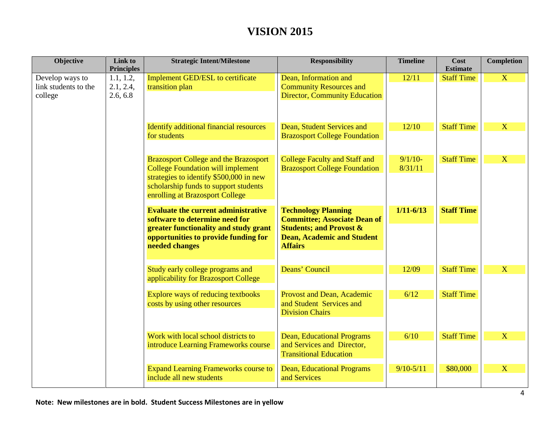| Objective                                          | Link to<br><b>Principles</b>       | <b>Strategic Intent/Milestone</b>                                                                                                                                                                               | <b>Responsibility</b>                                                                                                                                          | <b>Timeline</b>       | Cost<br><b>Estimate</b> | <b>Completion</b>       |
|----------------------------------------------------|------------------------------------|-----------------------------------------------------------------------------------------------------------------------------------------------------------------------------------------------------------------|----------------------------------------------------------------------------------------------------------------------------------------------------------------|-----------------------|-------------------------|-------------------------|
| Develop ways to<br>link students to the<br>college | 1.1, 1.2,<br>2.1, 2.4,<br>2.6, 6.8 | Implement GED/ESL to certificate<br>transition plan                                                                                                                                                             | Dean, Information and<br><b>Community Resources and</b><br><b>Director, Community Education</b>                                                                | 12/11                 | <b>Staff Time</b>       | $\overline{\mathbf{X}}$ |
|                                                    |                                    | <b>Identify additional financial resources</b><br>for students                                                                                                                                                  | Dean, Student Services and<br><b>Brazosport College Foundation</b>                                                                                             | 12/10                 | <b>Staff Time</b>       | X                       |
|                                                    |                                    | <b>Brazosport College and the Brazosport</b><br><b>College Foundation will implement</b><br>strategies to identify \$500,000 in new<br>scholarship funds to support students<br>enrolling at Brazosport College | <b>College Faculty and Staff and</b><br><b>Brazosport College Foundation</b>                                                                                   | $9/1/10$ -<br>8/31/11 | <b>Staff Time</b>       | X                       |
|                                                    |                                    | <b>Evaluate the current administrative</b><br>software to determine need for<br>greater functionality and study grant<br>opportunities to provide funding for<br>needed changes                                 | <b>Technology Planning</b><br><b>Committee; Associate Dean of</b><br><b>Students; and Provost &amp;</b><br><b>Dean, Academic and Student</b><br><b>Affairs</b> | $1/11 - 6/13$         | <b>Staff Time</b>       |                         |
|                                                    |                                    | Study early college programs and<br>applicability for Brazosport College                                                                                                                                        | Deans' Council                                                                                                                                                 | 12/09                 | <b>Staff Time</b>       | $\mathbf{X}$            |
|                                                    |                                    | Explore ways of reducing textbooks<br>costs by using other resources                                                                                                                                            | Provost and Dean, Academic<br>and Student Services and<br><b>Division Chairs</b>                                                                               | 6/12                  | <b>Staff Time</b>       |                         |
|                                                    |                                    | Work with local school districts to<br>introduce Learning Frameworks course                                                                                                                                     | <b>Dean, Educational Programs</b><br>and Services and Director,<br><b>Transitional Education</b>                                                               | 6/10                  | <b>Staff Time</b>       | X                       |
|                                                    |                                    | <b>Expand Learning Frameworks course to</b><br>include all new students                                                                                                                                         | <b>Dean, Educational Programs</b><br>and Services                                                                                                              | $9/10 - 5/11$         | \$80,000                | X                       |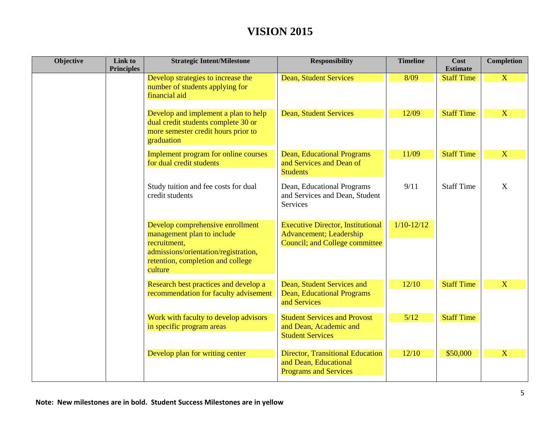| Objective | Link to<br><b>Principles</b> | <b>Strategic Intent/Milestone</b>                                                                                                                                      | <b>Responsibility</b>                                                                                                | <b>Timeline</b> | Cost<br><b>Estimate</b> | <b>Completion</b> |
|-----------|------------------------------|------------------------------------------------------------------------------------------------------------------------------------------------------------------------|----------------------------------------------------------------------------------------------------------------------|-----------------|-------------------------|-------------------|
|           |                              | Develop strategies to increase the<br>number of students applying for<br>financial aid                                                                                 | <b>Dean, Student Services</b>                                                                                        | 8/09            | <b>Staff Time</b>       | $\overline{X}$    |
|           |                              | Develop and implement a plan to help<br>dual credit students complete 30 or<br>more semester credit hours prior to<br>graduation                                       | <b>Dean, Student Services</b>                                                                                        | 12/09           | <b>Staff Time</b>       | $\mathbf X$       |
|           |                              | Implement program for online courses<br>for dual credit students                                                                                                       | <b>Dean, Educational Programs</b><br>and Services and Dean of<br><b>Students</b>                                     | 11/09           | <b>Staff Time</b>       | X                 |
|           |                              | Study tuition and fee costs for dual<br>credit students                                                                                                                | Dean, Educational Programs<br>and Services and Dean, Student<br>Services                                             | 9/11            | <b>Staff Time</b>       | X                 |
|           |                              | Develop comprehensive enrollment<br>management plan to include<br>recruitment,<br>admissions/orientation/registration,<br>retention, completion and college<br>culture | <b>Executive Director, Institutional</b><br><b>Advancement</b> ; Leadership<br><b>Council; and College committee</b> | $1/10-12/12$    |                         |                   |
|           |                              | Research best practices and develop a<br>recommendation for faculty advisement                                                                                         | Dean, Student Services and<br><b>Dean, Educational Programs</b><br>and Services                                      | 12/10           | <b>Staff Time</b>       | X                 |
|           |                              | Work with faculty to develop advisors<br>in specific program areas                                                                                                     | <b>Student Services and Provost</b><br>and Dean, Academic and<br><b>Student Services</b>                             | 5/12            | <b>Staff Time</b>       |                   |
|           |                              | Develop plan for writing center                                                                                                                                        | <b>Director, Transitional Education</b><br>and Dean, Educational<br><b>Programs and Services</b>                     | 12/10           | \$50,000                | X                 |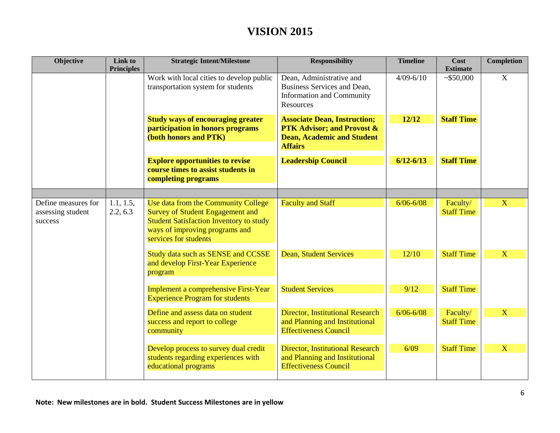| Objective                                           | Link to<br><b>Principles</b> | <b>Strategic Intent/Milestone</b>                                                                                                                                                           | <b>Responsibility</b>                                                                                                               | <b>Timeline</b> | Cost<br><b>Estimate</b>       | <b>Completion</b> |
|-----------------------------------------------------|------------------------------|---------------------------------------------------------------------------------------------------------------------------------------------------------------------------------------------|-------------------------------------------------------------------------------------------------------------------------------------|-----------------|-------------------------------|-------------------|
|                                                     |                              | Work with local cities to develop public<br>transportation system for students                                                                                                              | Dean, Administrative and<br>Business Services and Dean,<br><b>Information and Community</b><br>Resources                            | $4/09 - 6/10$   | ~550,000                      | $\mathbf X$       |
|                                                     |                              | <b>Study ways of encouraging greater</b><br>participation in honors programs<br>(both honors and PTK)                                                                                       | <b>Associate Dean, Instruction;</b><br><b>PTK Advisor; and Provost &amp;</b><br><b>Dean, Academic and Student</b><br><b>Affairs</b> | 12/12           | <b>Staff Time</b>             |                   |
|                                                     |                              | <b>Explore opportunities to revise</b><br>course times to assist students in<br>completing programs                                                                                         | <b>Leadership Council</b>                                                                                                           | $6/12 - 6/13$   | <b>Staff Time</b>             |                   |
|                                                     |                              |                                                                                                                                                                                             |                                                                                                                                     |                 |                               | X                 |
| Define measures for<br>assessing student<br>success | 1.1, 1.5,<br>2.2, 6.3        | Use data from the Community College<br><b>Survey of Student Engagement and</b><br><b>Student Satisfaction Inventory to study</b><br>ways of improving programs and<br>services for students | <b>Faculty and Staff</b>                                                                                                            | $6/06 - 6/08$   | Faculty/<br><b>Staff Time</b> |                   |
|                                                     |                              | Study data such as SENSE and CCSSE<br>and develop First-Year Experience<br>program                                                                                                          | <b>Dean, Student Services</b>                                                                                                       | 12/10           | <b>Staff Time</b>             | X                 |
|                                                     |                              | <b>Implement a comprehensive First-Year</b><br><b>Experience Program for students</b>                                                                                                       | <b>Student Services</b>                                                                                                             | 9/12            | <b>Staff Time</b>             |                   |
|                                                     |                              | Define and assess data on student<br>success and report to college<br>community                                                                                                             | <b>Director, Institutional Research</b><br>and Planning and Institutional<br><b>Effectiveness Council</b>                           | $6/06 - 6/08$   | Faculty/<br><b>Staff Time</b> | X                 |
|                                                     |                              | Develop process to survey dual credit<br>students regarding experiences with<br>educational programs                                                                                        | <b>Director, Institutional Research</b><br>and Planning and Institutional<br><b>Effectiveness Council</b>                           | 6/09            | <b>Staff Time</b>             | X                 |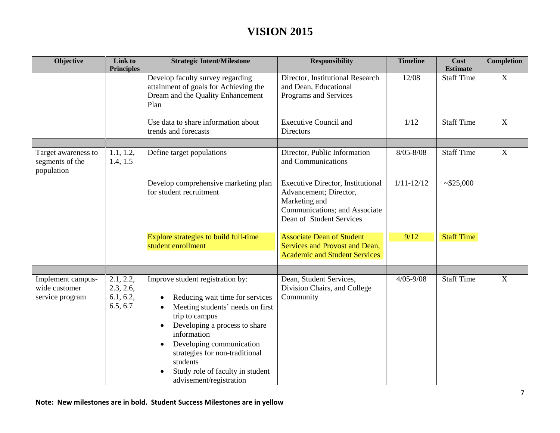| Objective                                             | Link to<br><b>Principles</b>                    | <b>Strategic Intent/Milestone</b>                                                                                                                                                                                                                                                                                               | <b>Responsibility</b>                                                                                                                            | <b>Timeline</b> | Cost<br><b>Estimate</b> | <b>Completion</b> |
|-------------------------------------------------------|-------------------------------------------------|---------------------------------------------------------------------------------------------------------------------------------------------------------------------------------------------------------------------------------------------------------------------------------------------------------------------------------|--------------------------------------------------------------------------------------------------------------------------------------------------|-----------------|-------------------------|-------------------|
|                                                       |                                                 | Develop faculty survey regarding<br>attainment of goals for Achieving the<br>Dream and the Quality Enhancement<br>Plan                                                                                                                                                                                                          | Director, Institutional Research<br>and Dean, Educational<br>Programs and Services                                                               | 12/08           | <b>Staff Time</b>       | X                 |
|                                                       |                                                 | Use data to share information about<br>trends and forecasts                                                                                                                                                                                                                                                                     | <b>Executive Council and</b><br><b>Directors</b>                                                                                                 | 1/12            | <b>Staff Time</b>       | X                 |
|                                                       |                                                 |                                                                                                                                                                                                                                                                                                                                 |                                                                                                                                                  |                 |                         |                   |
| Target awareness to<br>segments of the<br>population  | 1.1, 1.2,<br>1.4, 1.5                           | Define target populations                                                                                                                                                                                                                                                                                                       | Director, Public Information<br>and Communications                                                                                               | $8/05 - 8/08$   | <b>Staff Time</b>       | $\mathbf X$       |
|                                                       |                                                 | Develop comprehensive marketing plan<br>for student recruitment                                                                                                                                                                                                                                                                 | <b>Executive Director, Institutional</b><br>Advancement; Director,<br>Marketing and<br>Communications; and Associate<br>Dean of Student Services | $1/11 - 12/12$  | ~1.525,000              |                   |
|                                                       |                                                 | Explore strategies to build full-time<br>student enrollment                                                                                                                                                                                                                                                                     | <b>Associate Dean of Student</b><br>Services and Provost and Dean,<br><b>Academic and Student Services</b>                                       | 9/12            | <b>Staff Time</b>       |                   |
|                                                       |                                                 |                                                                                                                                                                                                                                                                                                                                 |                                                                                                                                                  |                 |                         |                   |
| Implement campus-<br>wide customer<br>service program | 2.1, 2.2,<br>2.3, 2.6,<br>6.1, 6.2,<br>6.5, 6.7 | Improve student registration by:<br>Reducing wait time for services<br>Meeting students' needs on first<br>trip to campus<br>Developing a process to share<br>$\bullet$<br>information<br>Developing communication<br>strategies for non-traditional<br>students<br>Study role of faculty in student<br>advisement/registration | Dean, Student Services,<br>Division Chairs, and College<br>Community                                                                             | $4/05 - 9/08$   | <b>Staff Time</b>       | X                 |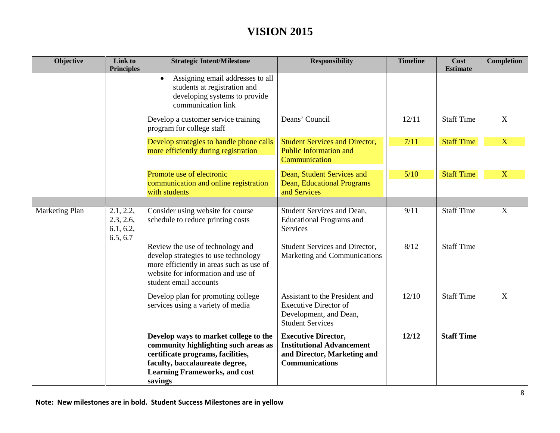| Objective      | Link to<br><b>Principles</b>                    | <b>Strategic Intent/Milestone</b>                                                                                                                                                                       | <b>Responsibility</b>                                                                                                  | <b>Timeline</b> | Cost<br><b>Estimate</b> | <b>Completion</b>       |
|----------------|-------------------------------------------------|---------------------------------------------------------------------------------------------------------------------------------------------------------------------------------------------------------|------------------------------------------------------------------------------------------------------------------------|-----------------|-------------------------|-------------------------|
|                |                                                 | Assigning email addresses to all<br>$\bullet$<br>students at registration and<br>developing systems to provide<br>communication link                                                                    |                                                                                                                        |                 |                         |                         |
|                |                                                 | Develop a customer service training<br>program for college staff                                                                                                                                        | Deans' Council                                                                                                         | 12/11           | <b>Staff Time</b>       | X                       |
|                |                                                 | Develop strategies to handle phone calls<br>more efficiently during registration                                                                                                                        | <b>Student Services and Director,</b><br><b>Public Information and</b><br>Communication                                | 7/11            | <b>Staff Time</b>       | $\overline{\mathbf{X}}$ |
|                |                                                 | Promote use of electronic<br>communication and online registration<br>with students                                                                                                                     | Dean, Student Services and<br><b>Dean, Educational Programs</b><br>and Services                                        | 5/10            | <b>Staff Time</b>       | $\mathbf X$             |
| Marketing Plan | 2.1, 2.2,<br>2.3, 2.6,<br>6.1, 6.2,<br>6.5, 6.7 | Consider using website for course<br>schedule to reduce printing costs                                                                                                                                  | Student Services and Dean,<br><b>Educational Programs and</b><br>Services                                              | 9/11            | <b>Staff Time</b>       | $\mathbf X$             |
|                |                                                 | Review the use of technology and<br>develop strategies to use technology<br>more efficiently in areas such as use of<br>website for information and use of<br>student email accounts                    | Student Services and Director,<br>Marketing and Communications                                                         | 8/12            | <b>Staff Time</b>       |                         |
|                |                                                 | Develop plan for promoting college<br>services using a variety of media                                                                                                                                 | Assistant to the President and<br><b>Executive Director of</b><br>Development, and Dean,<br><b>Student Services</b>    | 12/10           | <b>Staff Time</b>       | X                       |
|                |                                                 | Develop ways to market college to the<br>community highlighting such areas as<br>certificate programs, facilities,<br>faculty, baccalaureate degree,<br><b>Learning Frameworks, and cost</b><br>savings | <b>Executive Director,</b><br><b>Institutional Advancement</b><br>and Director, Marketing and<br><b>Communications</b> | 12/12           | <b>Staff Time</b>       |                         |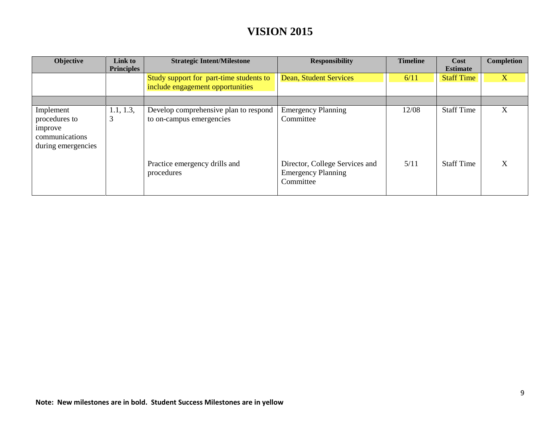| Objective                                                                     | Link to<br><b>Principles</b> | <b>Strategic Intent/Milestone</b>                                           | <b>Responsibility</b>                                                    | <b>Timeline</b> | Cost<br><b>Estimate</b> | Completion |
|-------------------------------------------------------------------------------|------------------------------|-----------------------------------------------------------------------------|--------------------------------------------------------------------------|-----------------|-------------------------|------------|
|                                                                               |                              | Study support for part-time students to<br>include engagement opportunities | <b>Dean, Student Services</b>                                            | 6/11            | <b>Staff Time</b>       | X          |
|                                                                               |                              |                                                                             |                                                                          |                 |                         |            |
| Implement<br>procedures to<br>improve<br>communications<br>during emergencies | 1.1, 1.3,<br>3               | Develop comprehensive plan to respond<br>to on-campus emergencies           | <b>Emergency Planning</b><br>Committee                                   | 12/08           | <b>Staff Time</b>       | X          |
|                                                                               |                              | Practice emergency drills and<br>procedures                                 | Director, College Services and<br><b>Emergency Planning</b><br>Committee | 5/11            | <b>Staff Time</b>       | X          |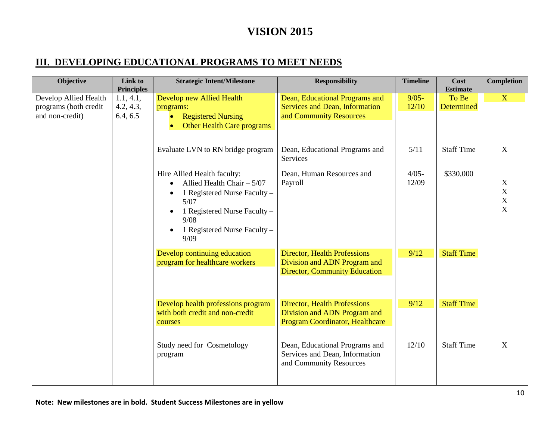#### **III. DEVELOPING EDUCATIONAL PROGRAMS TO MEET NEEDS**

| Objective                                      | Link to<br><b>Principles</b> | <b>Strategic Intent/Milestone</b>                                     | <b>Responsibility</b>                                               | <b>Timeline</b>   | Cost<br><b>Estimate</b>    | <b>Completion</b>             |
|------------------------------------------------|------------------------------|-----------------------------------------------------------------------|---------------------------------------------------------------------|-------------------|----------------------------|-------------------------------|
| Develop Allied Health<br>programs (both credit | 1.1, 4.1,<br>4.2, 4.3,       | Develop new Allied Health<br>programs:                                | Dean, Educational Programs and<br>Services and Dean, Information    | $9/05 -$<br>12/10 | To Be<br><b>Determined</b> | X                             |
| and non-credit)                                | 6.4, 6.5                     | <b>Registered Nursing</b>                                             | and Community Resources                                             |                   |                            |                               |
|                                                |                              | Other Health Care programs<br>$\bullet$                               |                                                                     |                   |                            |                               |
|                                                |                              | Evaluate LVN to RN bridge program                                     | Dean, Educational Programs and<br>Services                          | 5/11              | <b>Staff Time</b>          | X                             |
|                                                |                              | Hire Allied Health faculty:                                           | Dean, Human Resources and                                           | $4/05 -$<br>12/09 | \$330,000                  |                               |
|                                                |                              | Allied Health Chair $-5/07$<br>1 Registered Nurse Faculty -           | Payroll                                                             |                   |                            | X<br>$\mathbf X$              |
|                                                |                              | $5/07$<br>1 Registered Nurse Faculty -<br>$\bullet$                   |                                                                     |                   |                            | $\mathbf X$<br>$\overline{X}$ |
|                                                |                              | 9/08                                                                  |                                                                     |                   |                            |                               |
|                                                |                              | 1 Registered Nurse Faculty -<br>$\bullet$<br>9/09                     |                                                                     |                   |                            |                               |
|                                                |                              | Develop continuing education<br>program for healthcare workers        | <b>Director, Health Professions</b><br>Division and ADN Program and | 9/12              | <b>Staff Time</b>          |                               |
|                                                |                              |                                                                       | <b>Director, Community Education</b>                                |                   |                            |                               |
|                                                |                              |                                                                       |                                                                     |                   |                            |                               |
|                                                |                              | Develop health professions program<br>with both credit and non-credit | <b>Director, Health Professions</b><br>Division and ADN Program and | 9/12              | <b>Staff Time</b>          |                               |
|                                                |                              | courses                                                               | <b>Program Coordinator, Healthcare</b>                              |                   |                            |                               |
|                                                |                              | Study need for Cosmetology                                            | Dean, Educational Programs and                                      | 12/10             | <b>Staff Time</b>          | X                             |
|                                                |                              | program                                                               | Services and Dean, Information<br>and Community Resources           |                   |                            |                               |
|                                                |                              |                                                                       |                                                                     |                   |                            |                               |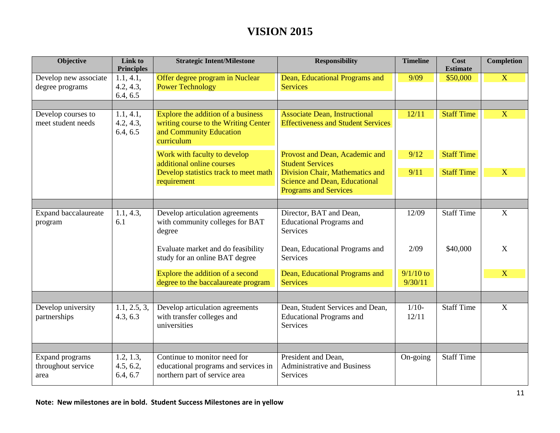| Objective                                     | Link to<br><b>Principles</b>       | <b>Strategic Intent/Milestone</b>                                                                                   | <b>Responsibility</b>                                                                                                         | <b>Timeline</b>        | Cost<br><b>Estimate</b>                | <b>Completion</b> |
|-----------------------------------------------|------------------------------------|---------------------------------------------------------------------------------------------------------------------|-------------------------------------------------------------------------------------------------------------------------------|------------------------|----------------------------------------|-------------------|
| Develop new associate<br>degree programs      | 1.1, 4.1,<br>4.2, 4.3,<br>6.4, 6.5 | Offer degree program in Nuclear<br><b>Power Technology</b>                                                          | Dean, Educational Programs and<br><b>Services</b>                                                                             | 9/09                   | \$50,000                               | $\mathbf{X}$      |
| Develop courses to<br>meet student needs      | 1.1, 4.1,<br>4.2, 4.3,<br>6.4, 6.5 | Explore the addition of a business<br>writing course to the Writing Center<br>and Community Education<br>curriculum | <b>Associate Dean, Instructional</b><br><b>Effectiveness and Student Services</b>                                             | 12/11                  | <b>Staff Time</b>                      | $\mathbf{X}$      |
|                                               |                                    | Work with faculty to develop<br>additional online courses<br>Develop statistics track to meet math<br>requirement   | Provost and Dean, Academic and<br><b>Student Services</b><br>Division Chair, Mathematics and<br>Science and Dean, Educational | 9/12<br>9/11           | <b>Staff Time</b><br><b>Staff Time</b> | X                 |
|                                               |                                    |                                                                                                                     | <b>Programs and Services</b>                                                                                                  |                        |                                        |                   |
| Expand baccalaureate<br>program               | 1.1, 4.3,<br>6.1                   | Develop articulation agreements<br>with community colleges for BAT<br>degree                                        | Director, BAT and Dean,<br><b>Educational Programs and</b><br><b>Services</b>                                                 | 12/09                  | <b>Staff Time</b>                      | $\overline{X}$    |
|                                               |                                    | Evaluate market and do feasibility<br>study for an online BAT degree                                                | Dean, Educational Programs and<br><b>Services</b>                                                                             | 2/09                   | \$40,000                               | X                 |
|                                               |                                    | Explore the addition of a second<br>degree to the baccalaureate program                                             | Dean, Educational Programs and<br><b>Services</b>                                                                             | $9/1/10$ to<br>9/30/11 |                                        | $\overline{X}$    |
|                                               |                                    |                                                                                                                     |                                                                                                                               |                        |                                        |                   |
| Develop university<br>partnerships            | 1.1, 2.5, 3,<br>4.3, 6.3           | Develop articulation agreements<br>with transfer colleges and<br>universities                                       | Dean, Student Services and Dean,<br><b>Educational Programs and</b><br>Services                                               | $1/10-$<br>12/11       | <b>Staff Time</b>                      | $\overline{X}$    |
|                                               |                                    |                                                                                                                     |                                                                                                                               |                        |                                        |                   |
| Expand programs<br>throughout service<br>area | 1.2, 1.3,<br>4.5, 6.2,<br>6.4, 6.7 | Continue to monitor need for<br>educational programs and services in<br>northern part of service area               | President and Dean,<br><b>Administrative and Business</b><br><b>Services</b>                                                  | On-going               | <b>Staff Time</b>                      |                   |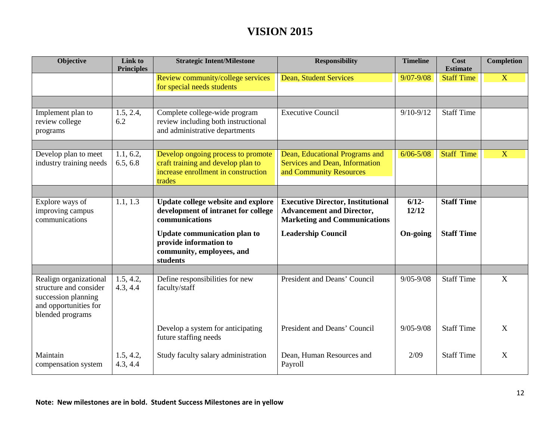| Objective                                                                                                            | Link to<br><b>Principles</b> | <b>Strategic Intent/Milestone</b>                                                                                         | <b>Responsibility</b>                                                                                               | <b>Timeline</b>   | Cost<br><b>Estimate</b> | <b>Completion</b> |
|----------------------------------------------------------------------------------------------------------------------|------------------------------|---------------------------------------------------------------------------------------------------------------------------|---------------------------------------------------------------------------------------------------------------------|-------------------|-------------------------|-------------------|
|                                                                                                                      |                              | Review community/college services<br>for special needs students                                                           | <b>Dean, Student Services</b>                                                                                       | $9/07 - 9/08$     | <b>Staff Time</b>       | X                 |
|                                                                                                                      |                              |                                                                                                                           |                                                                                                                     |                   |                         |                   |
| Implement plan to<br>review college<br>programs                                                                      | 1.5, 2.4,<br>6.2             | Complete college-wide program<br>review including both instructional<br>and administrative departments                    | <b>Executive Council</b>                                                                                            | $9/10 - 9/12$     | <b>Staff Time</b>       |                   |
|                                                                                                                      |                              |                                                                                                                           |                                                                                                                     |                   |                         |                   |
| Develop plan to meet<br>industry training needs                                                                      | 1.1, 6.2,<br>6.5, 6.8        | Develop ongoing process to promote<br>craft training and develop plan to<br>increase enrollment in construction<br>trades | Dean, Educational Programs and<br><b>Services and Dean, Information</b><br>and Community Resources                  | $6/06 - 5/08$     | <b>Staff Time</b>       | X                 |
|                                                                                                                      |                              |                                                                                                                           |                                                                                                                     |                   |                         |                   |
| Explore ways of<br>improving campus<br>communications                                                                | 1.1, 1.3                     | Update college website and explore<br>development of intranet for college<br>communications                               | <b>Executive Director, Institutional</b><br><b>Advancement and Director,</b><br><b>Marketing and Communications</b> | $6/12 -$<br>12/12 | <b>Staff Time</b>       |                   |
|                                                                                                                      |                              | Update communication plan to<br>provide information to<br>community, employees, and<br>students                           | <b>Leadership Council</b>                                                                                           | On-going          | <b>Staff Time</b>       |                   |
|                                                                                                                      |                              |                                                                                                                           |                                                                                                                     |                   |                         |                   |
| Realign organizational<br>structure and consider<br>succession planning<br>and opportunities for<br>blended programs | 1.5, 4.2,<br>4.3, 4.4        | Define responsibilities for new<br>faculty/staff                                                                          | President and Deans' Council                                                                                        | $9/05 - 9/08$     | <b>Staff Time</b>       | X                 |
|                                                                                                                      |                              | Develop a system for anticipating<br>future staffing needs                                                                | President and Deans' Council                                                                                        | $9/05 - 9/08$     | <b>Staff Time</b>       | X                 |
| Maintain<br>compensation system                                                                                      | 1.5, 4.2,<br>4.3, 4.4        | Study faculty salary administration                                                                                       | Dean, Human Resources and<br>Payroll                                                                                | 2/09              | <b>Staff Time</b>       | X                 |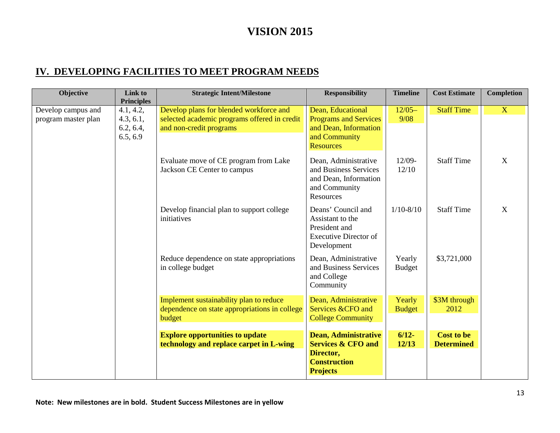#### **IV. DEVELOPING FACILITIES TO MEET PROGRAM NEEDS**

| <b>Objective</b>                          | Link to<br><b>Principles</b>                    | <b>Strategic Intent/Milestone</b>                                                                                  | <b>Responsibility</b>                                                                                           | <b>Timeline</b>         | <b>Cost Estimate</b>                   | <b>Completion</b> |
|-------------------------------------------|-------------------------------------------------|--------------------------------------------------------------------------------------------------------------------|-----------------------------------------------------------------------------------------------------------------|-------------------------|----------------------------------------|-------------------|
| Develop campus and<br>program master plan | 4.1, 4.2,<br>4.3, 6.1,<br>6.2, 6.4,<br>6.5, 6.9 | Develop plans for blended workforce and<br>selected academic programs offered in credit<br>and non-credit programs | Dean, Educational<br><b>Programs and Services</b><br>and Dean, Information<br>and Community<br><b>Resources</b> | $12/05-$<br>9/08        | <b>Staff Time</b>                      | $\mathbf{X}$      |
|                                           |                                                 | Evaluate move of CE program from Lake<br>Jackson CE Center to campus                                               | Dean, Administrative<br>and Business Services<br>and Dean, Information<br>and Community<br>Resources            | $12/09-$<br>12/10       | <b>Staff Time</b>                      | $\overline{X}$    |
|                                           |                                                 | Develop financial plan to support college<br>initiatives                                                           | Deans' Council and<br>Assistant to the<br>President and<br><b>Executive Director of</b><br>Development          | $1/10 - 8/10$           | <b>Staff Time</b>                      | $\mathbf{X}$      |
|                                           |                                                 | Reduce dependence on state appropriations<br>in college budget                                                     | Dean, Administrative<br>and Business Services<br>and College<br>Community                                       | Yearly<br><b>Budget</b> | \$3,721,000                            |                   |
|                                           |                                                 | Implement sustainability plan to reduce<br>dependence on state appropriations in college<br>budget                 | Dean, Administrative<br>Services &CFO and<br><b>College Community</b>                                           | Yearly<br><b>Budget</b> | \$3M through<br>2012                   |                   |
|                                           |                                                 | <b>Explore opportunities to update</b><br>technology and replace carpet in L-wing                                  | Dean, Administrative<br><b>Services &amp; CFO and</b><br>Director,<br><b>Construction</b><br><b>Projects</b>    | $6/12-$<br>12/13        | <b>Cost to be</b><br><b>Determined</b> |                   |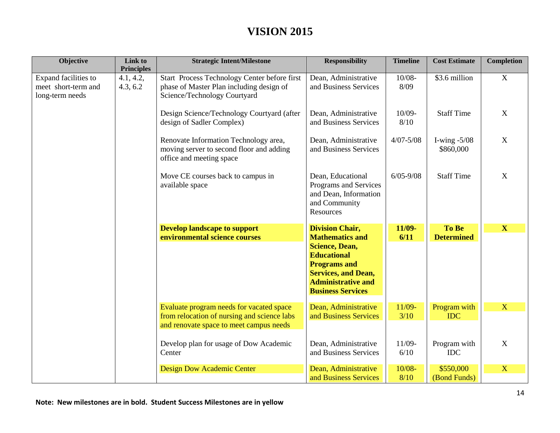| Objective                                                      | Link to<br><b>Principles</b> | <b>Strategic Intent/Milestone</b>                                                                                                  | <b>Responsibility</b>                                                                                                                                                                                         | <b>Timeline</b>   | <b>Cost Estimate</b>        | <b>Completion</b>       |
|----------------------------------------------------------------|------------------------------|------------------------------------------------------------------------------------------------------------------------------------|---------------------------------------------------------------------------------------------------------------------------------------------------------------------------------------------------------------|-------------------|-----------------------------|-------------------------|
| Expand facilities to<br>meet short-term and<br>long-term needs | 4.1, 4.2,<br>4.3, 6.2        | Start Process Technology Center before first<br>phase of Master Plan including design of<br>Science/Technology Courtyard           | Dean, Administrative<br>and Business Services                                                                                                                                                                 | $10/08 -$<br>8/09 | \$3.6 million               | $\boldsymbol{X}$        |
|                                                                |                              | Design Science/Technology Courtyard (after<br>design of Sadler Complex)                                                            | Dean, Administrative<br>and Business Services                                                                                                                                                                 | 10/09-<br>8/10    | <b>Staff Time</b>           | $\mathbf X$             |
|                                                                |                              | Renovate Information Technology area,<br>moving server to second floor and adding<br>office and meeting space                      | Dean, Administrative<br>and Business Services                                                                                                                                                                 | $4/07 - 5/08$     | I-wing $-5/08$<br>\$860,000 | X                       |
|                                                                |                              | Move CE courses back to campus in<br>available space                                                                               | Dean, Educational<br>Programs and Services<br>and Dean, Information<br>and Community<br>Resources                                                                                                             | $6/05 - 9/08$     | <b>Staff Time</b>           | X                       |
|                                                                |                              | <b>Develop landscape to support</b><br>environmental science courses                                                               | <b>Division Chair,</b><br><b>Mathematics and</b><br><b>Science, Dean,</b><br><b>Educational</b><br><b>Programs and</b><br><b>Services, and Dean,</b><br><b>Administrative and</b><br><b>Business Services</b> | 11/09-<br>6/11    | To Be<br><b>Determined</b>  | $\mathbf X$             |
|                                                                |                              | Evaluate program needs for vacated space<br>from relocation of nursing and science labs<br>and renovate space to meet campus needs | Dean, Administrative<br>and Business Services                                                                                                                                                                 | 11/09-<br>3/10    | Program with<br><b>IDC</b>  | $\overline{\mathbf{X}}$ |
|                                                                |                              | Develop plan for usage of Dow Academic<br>Center                                                                                   | Dean, Administrative<br>and Business Services                                                                                                                                                                 | 11/09-<br>6/10    | Program with<br><b>IDC</b>  | X                       |
|                                                                |                              | <b>Design Dow Academic Center</b>                                                                                                  | Dean, Administrative<br>and Business Services                                                                                                                                                                 | $10/08 -$<br>8/10 | \$550,000<br>(Bond Funds)   | X                       |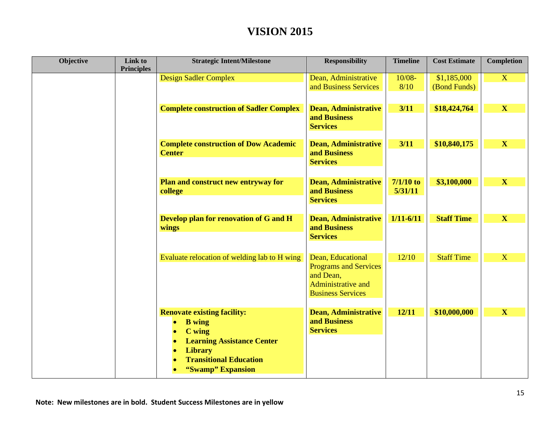| Objective | Link to<br><b>Principles</b> | <b>Strategic Intent/Milestone</b>                                                                                                                                                                                                           | <b>Responsibility</b>                                                                                            | <b>Timeline</b>        | <b>Cost Estimate</b>        | <b>Completion</b>       |
|-----------|------------------------------|---------------------------------------------------------------------------------------------------------------------------------------------------------------------------------------------------------------------------------------------|------------------------------------------------------------------------------------------------------------------|------------------------|-----------------------------|-------------------------|
|           |                              | <b>Design Sadler Complex</b>                                                                                                                                                                                                                | Dean, Administrative<br>and Business Services                                                                    | $10/08 -$<br>8/10      | \$1,185,000<br>(Bond Funds) | $\mathbf{X}$            |
|           |                              | <b>Complete construction of Sadler Complex</b>                                                                                                                                                                                              | <b>Dean, Administrative</b><br>and Business<br><b>Services</b>                                                   | $3/11$                 | \$18,424,764                | $\mathbf X$             |
|           |                              | <b>Complete construction of Dow Academic</b><br><b>Center</b>                                                                                                                                                                               | <b>Dean, Administrative</b><br>and Business<br><b>Services</b>                                                   | $3/11$                 | \$10,840,175                | $\mathbf X$             |
|           |                              | Plan and construct new entryway for<br>college                                                                                                                                                                                              | <b>Dean, Administrative</b><br>and Business<br><b>Services</b>                                                   | $7/1/10$ to<br>5/31/11 | \$3,100,000                 | $\mathbf{X}$            |
|           |                              | Develop plan for renovation of G and H<br>wings                                                                                                                                                                                             | <b>Dean, Administrative</b><br>and Business<br><b>Services</b>                                                   | $1/11 - 6/11$          | <b>Staff Time</b>           | $\mathbf{X}$            |
|           |                              | Evaluate relocation of welding lab to H wing                                                                                                                                                                                                | Dean, Educational<br><b>Programs and Services</b><br>and Dean,<br>Administrative and<br><b>Business Services</b> | 12/10                  | <b>Staff Time</b>           | $\overline{\mathbf{X}}$ |
|           |                              | <b>Renovate existing facility:</b><br><b>B</b> wing<br>$\bullet$<br>C wing<br>$\bullet$<br><b>Learning Assistance Center</b><br>$\bullet$<br><b>Library</b><br>$\bullet$<br><b>Transitional Education</b><br>$\bullet$<br>"Swamp" Expansion | <b>Dean, Administrative</b><br>and Business<br><b>Services</b>                                                   | 12/11                  | \$10,000,000                | $\mathbf X$             |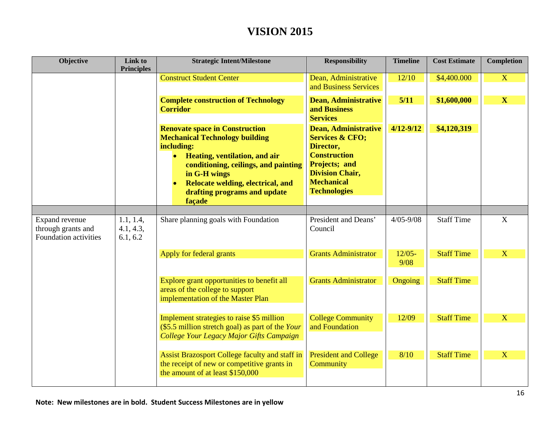| Objective                                                     | Link to<br><b>Principles</b>       | <b>Strategic Intent/Milestone</b>                                                                                                                                                                                                                                                 | <b>Responsibility</b>                                                                                                                                                                | <b>Timeline</b>   | <b>Cost Estimate</b> | <b>Completion</b>       |
|---------------------------------------------------------------|------------------------------------|-----------------------------------------------------------------------------------------------------------------------------------------------------------------------------------------------------------------------------------------------------------------------------------|--------------------------------------------------------------------------------------------------------------------------------------------------------------------------------------|-------------------|----------------------|-------------------------|
|                                                               |                                    | <b>Construct Student Center</b>                                                                                                                                                                                                                                                   | Dean, Administrative<br>and Business Services                                                                                                                                        | 12/10             | \$4,400.000          | $\overline{\mathbf{X}}$ |
|                                                               |                                    | <b>Complete construction of Technology</b><br><b>Corridor</b>                                                                                                                                                                                                                     | <b>Dean, Administrative</b><br>and Business<br><b>Services</b>                                                                                                                       | 5/11              | \$1,600,000          | $\mathbf{X}$            |
|                                                               |                                    | <b>Renovate space in Construction</b><br><b>Mechanical Technology building</b><br>including:<br>Heating, ventilation, and air<br>$\bullet$<br>conditioning, ceilings, and painting<br>in G-H wings<br>Relocate welding, electrical, and<br>drafting programs and update<br>façade | <b>Dean, Administrative</b><br><b>Services &amp; CFO;</b><br>Director,<br><b>Construction</b><br>Projects; and<br><b>Division Chair,</b><br><b>Mechanical</b><br><b>Technologies</b> | $4/12 - 9/12$     | \$4,120,319          |                         |
|                                                               |                                    |                                                                                                                                                                                                                                                                                   |                                                                                                                                                                                      |                   |                      |                         |
| Expand revenue<br>through grants and<br>Foundation activities | 1.1, 1.4,<br>4.1, 4.3,<br>6.1, 6.2 | Share planning goals with Foundation                                                                                                                                                                                                                                              | President and Deans'<br>Council                                                                                                                                                      | $4/05 - 9/08$     | <b>Staff Time</b>    | $\mathbf X$             |
|                                                               |                                    | Apply for federal grants                                                                                                                                                                                                                                                          | <b>Grants Administrator</b>                                                                                                                                                          | $12/05 -$<br>9/08 | <b>Staff Time</b>    | X                       |
|                                                               |                                    | Explore grant opportunities to benefit all<br>areas of the college to support<br>implementation of the Master Plan                                                                                                                                                                | <b>Grants Administrator</b>                                                                                                                                                          | Ongoing           | <b>Staff Time</b>    |                         |
|                                                               |                                    | Implement strategies to raise \$5 million<br>(\$5.5 million stretch goal) as part of the Your<br>College Your Legacy Major Gifts Campaign                                                                                                                                         | <b>College Community</b><br>and Foundation                                                                                                                                           | 12/09             | <b>Staff Time</b>    | X                       |
|                                                               |                                    | Assist Brazosport College faculty and staff in<br>the receipt of new or competitive grants in<br>the amount of at least \$150,000                                                                                                                                                 | <b>President and College</b><br>Community                                                                                                                                            | 8/10              | <b>Staff Time</b>    | X                       |